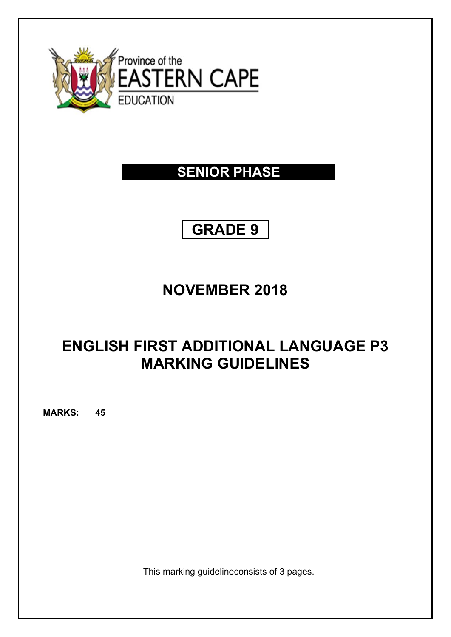

### **SENIOR PHASE**

# **GRADE 9**

## **NOVEMBER 2018**

## **ENGLISH FIRST ADDITIONAL LANGUAGE P3 MARKING GUIDELINES**

**MARKS: 45**

This marking guidelineconsists of 3 pages.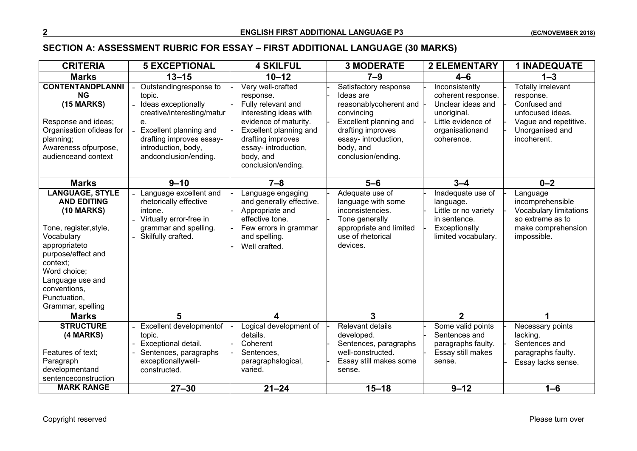#### **SECTION A: ASSESSMENT RUBRIC FOR ESSAY – FIRST ADDITIONAL LANGUAGE (30 MARKS)**

| <b>CRITERIA</b>                                                                                                                                                                                                                                       | <b>5 EXCEPTIONAL</b>                                                                                                                                                                              | <b>4 SKILFUL</b>                                                                                                                                                                                                  | <b>3 MODERATE</b>                                                                                                                                                                    | <b>2 ELEMENTARY</b>                                                                                                             | <b>1 INADEQUATE</b>                                                                                                                   |
|-------------------------------------------------------------------------------------------------------------------------------------------------------------------------------------------------------------------------------------------------------|---------------------------------------------------------------------------------------------------------------------------------------------------------------------------------------------------|-------------------------------------------------------------------------------------------------------------------------------------------------------------------------------------------------------------------|--------------------------------------------------------------------------------------------------------------------------------------------------------------------------------------|---------------------------------------------------------------------------------------------------------------------------------|---------------------------------------------------------------------------------------------------------------------------------------|
| <b>Marks</b>                                                                                                                                                                                                                                          | $13 - 15$                                                                                                                                                                                         | $10 - 12$                                                                                                                                                                                                         | $7 - 9$                                                                                                                                                                              | $4 - 6$                                                                                                                         | $1 - 3$                                                                                                                               |
| <b>CONTENTANDPLANNI</b><br><b>NG</b><br><b>(15 MARKS)</b><br>Response and ideas;<br>Organisation ofideas for<br>planning;<br>Awareness ofpurpose,<br>audienceand context                                                                              | Outstandingresponse to<br>topic.<br>Ideas exceptionally<br>creative/interesting/matur<br>е.<br>Excellent planning and<br>drafting improves essay-<br>introduction, body,<br>andconclusion/ending. | Very well-crafted<br>response.<br>Fully relevant and<br>interesting ideas with<br>evidence of maturity.<br>Excellent planning and<br>drafting improves<br>essay- introduction,<br>body, and<br>conclusion/ending. | Satisfactory response<br>Ideas are<br>reasonablycoherent and<br>convincing<br>Excellent planning and<br>drafting improves<br>essay- introduction,<br>body, and<br>conclusion/ending. | Inconsistently<br>coherent response.<br>Unclear ideas and<br>unoriginal.<br>Little evidence of<br>organisationand<br>coherence. | <b>Totally irrelevant</b><br>response.<br>Confused and<br>unfocused ideas.<br>Vague and repetitive.<br>Unorganised and<br>incoherent. |
| <b>Marks</b>                                                                                                                                                                                                                                          | $9 - 10$                                                                                                                                                                                          | $7 - 8$                                                                                                                                                                                                           | $5-6$                                                                                                                                                                                | $3 - 4$                                                                                                                         | $0 - 2$                                                                                                                               |
| <b>LANGUAGE, STYLE</b><br><b>AND EDITING</b><br><b>(10 MARKS)</b><br>Tone, register, style,<br>Vocabulary<br>appropriateto<br>purpose/effect and<br>context:<br>Word choice;<br>Language use and<br>conventions,<br>Punctuation,<br>Grammar, spelling | Language excellent and<br>rhetorically effective<br>intone.<br>Virtually error-free in<br>grammar and spelling.<br>Skilfully crafted.                                                             | Language engaging<br>and generally effective.<br>Appropriate and<br>effective tone.<br>Few errors in grammar<br>and spelling.<br>Well crafted.                                                                    | Adequate use of<br>language with some<br>inconsistencies.<br>Tone generally<br>appropriate and limited<br>use of rhetorical<br>devices.                                              | Inadequate use of<br>language.<br>Little or no variety<br>in sentence.<br>Exceptionally<br>limited vocabulary.                  | Language<br>incomprehensible<br>Vocabulary limitations<br>so extreme as to<br>make comprehension<br>impossible.                       |
| <b>Marks</b>                                                                                                                                                                                                                                          | 5                                                                                                                                                                                                 | 4                                                                                                                                                                                                                 | 3                                                                                                                                                                                    | $\mathbf{2}$                                                                                                                    |                                                                                                                                       |
| <b>STRUCTURE</b><br>(4 MARKS)<br>Features of text;<br>Paragraph<br>developmentand<br>sentenceconstruction                                                                                                                                             | Excellent developmentof<br>topic.<br>Exceptional detail.<br>Sentences, paragraphs<br>exceptionallywell-<br>constructed.                                                                           | Logical development of<br>details.<br>Coherent<br>Sentences,<br>paragraphslogical,<br>varied.                                                                                                                     | Relevant details<br>developed.<br>Sentences, paragraphs<br>well-constructed.<br>Essay still makes some<br>sense.                                                                     | Some valid points<br>Sentences and<br>paragraphs faulty.<br>Essay still makes<br>sense.                                         | Necessary points<br>lacking.<br>Sentences and<br>paragraphs faulty.<br>Essay lacks sense.                                             |
| <b>MARK RANGE</b>                                                                                                                                                                                                                                     | $27 - 30$                                                                                                                                                                                         | $21 - 24$                                                                                                                                                                                                         | $15 - 18$                                                                                                                                                                            | $9 - 12$                                                                                                                        | $1 - 6$                                                                                                                               |